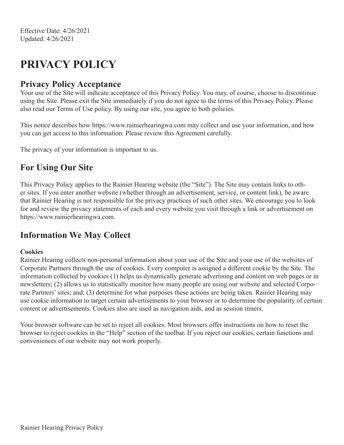# **PRIVACY POLICY**

#### **Privacy Policy Acceptance**

Your use of the Site will indicate acceptance of this Privacy Policy. You may, of course, choose to discontinue using the Site. Please exit the Site immediately if you do not agree to the terms of this Privacy Policy. Please also read our Terms of Use policy. By using our site, you agree to both policies.

This notice describes how https://www.rainierhearingwa.com may collect and use your information, and how you can get access to this information. Please review this Agreement carefully.

The privacy of your information is important to us.

### **For Using Our Site**

This Privacy Policy applies to the Rainier Hearing website (the "Site"). The Site may contain links to other sites. If you enter another website (whether through an advertisement, service, or content link), be aware that Rainier Hearing is not responsible for the privacy practices of such other sites. We encourage you to look for and review the privacy statements of each and every website you visit through a link or advertisement on https://www.rainierhearingwa.com.

#### **Information We May Collect**

#### **Cookies**

Rainier Hearing collects non-personal information about your use of the Site and your use of the websites of Corporate Partners through the use of cookies. Every computer is assigned a different cookie by the Site. The information collected by cookies (1) helps us dynamically generate advertising and content on web pages or in newsletters; (2) allows us to statistically monitor how many people are using our website and selected Corporate Partners' sites; and; (3) determine for what purposes these actions are being taken. Rainier Hearing may use cookie information to target certain advertisements to your browser or to determine the popularity of certain content or advertisements. Cookies also are used as navigation aids, and as session timers.

Your browser software can be set to reject all cookies. Most browsers offer instructions on how to reset the browser to reject cookies in the "Help" section of the toolbar. If you reject our cookies, certain functions and conveniences of our website may not work properly.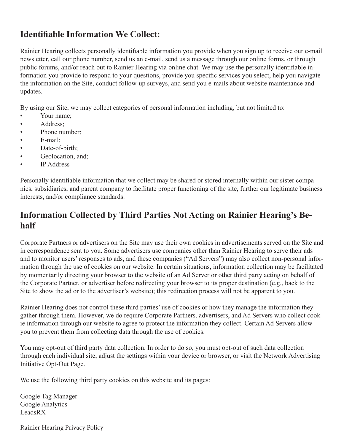#### **Identifiable Information We Collect:**

Rainier Hearing collects personally identifiable information you provide when you sign up to receive our e-mail newsletter, call our phone number, send us an e-mail, send us a message through our online forms, or through public forums, and/or reach out to Rainier Hearing via online chat. We may use the personally identifiable information you provide to respond to your questions, provide you specific services you select, help you navigate the information on the Site, conduct follow-up surveys, and send you e-mails about website maintenance and updates.

By using our Site, we may collect categories of personal information including, but not limited to:

- Your name:
- Address;
- Phone number;
- E-mail;
- Date-of-birth:
- Geolocation, and;
- IP Address

Personally identifiable information that we collect may be shared or stored internally within our sister companies, subsidiaries, and parent company to facilitate proper functioning of the site, further our legitimate business interests, and/or compliance standards.

# **Information Collected by Third Parties Not Acting on Rainier Hearing's Behalf**

Corporate Partners or advertisers on the Site may use their own cookies in advertisements served on the Site and in correspondence sent to you. Some advertisers use companies other than Rainier Hearing to serve their ads and to monitor users' responses to ads, and these companies ("Ad Servers") may also collect non-personal information through the use of cookies on our website. In certain situations, information collection may be facilitated by momentarily directing your browser to the website of an Ad Server or other third party acting on behalf of the Corporate Partner, or advertiser before redirecting your browser to its proper destination (e.g., back to the Site to show the ad or to the advertiser's website); this redirection process will not be apparent to you.

Rainier Hearing does not control these third parties' use of cookies or how they manage the information they gather through them. However, we do require Corporate Partners, advertisers, and Ad Servers who collect cookie information through our website to agree to protect the information they collect. Certain Ad Servers allow you to prevent them from collecting data through the use of cookies.

You may opt-out of third party data collection. In order to do so, you must opt-out of such data collection through each individual site, adjust the settings within your device or browser, or visit the Network Advertising Initiative Opt-Out Page.

We use the following third party cookies on this website and its pages:

Google Tag Manager Google Analytics LeadsRX

Rainier Hearing Privacy Policy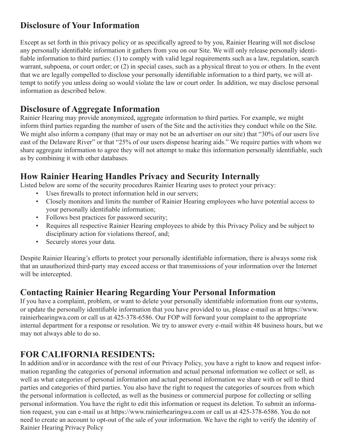### **Disclosure of Your Information**

Except as set forth in this privacy policy or as specifically agreed to by you, Rainier Hearing will not disclose any personally identifiable information it gathers from you on our Site. We will only release personally identifiable information to third parties: (1) to comply with valid legal requirements such as a law, regulation, search warrant, subpoena, or court order; or (2) in special cases, such as a physical threat to you or others. In the event that we are legally compelled to disclose your personally identifiable information to a third party, we will attempt to notify you unless doing so would violate the law or court order. In addition, we may disclose personal information as described below.

#### **Disclosure of Aggregate Information**

Rainier Hearing may provide anonymized, aggregate information to third parties. For example, we might inform third parties regarding the number of users of the Site and the activities they conduct while on the Site. We might also inform a company (that may or may not be an advertiser on our site) that "30% of our users live east of the Delaware River" or that "25% of our users dispense hearing aids." We require parties with whom we share aggregate information to agree they will not attempt to make this information personally identifiable, such as by combining it with other databases.

#### **How Rainier Hearing Handles Privacy and Security Internally**

Listed below are some of the security procedures Rainier Hearing uses to protect your privacy:

- Uses firewalls to protect information held in our servers;
- Closely monitors and limits the number of Rainier Hearing employees who have potential access to your personally identifiable information;
- Follows best practices for password security;
- Requires all respective Rainier Hearing employees to abide by this Privacy Policy and be subject to disciplinary action for violations thereof, and;
- Securely stores your data.

Despite Rainier Hearing's efforts to protect your personally identifiable information, there is always some risk that an unauthorized third-party may exceed access or that transmissions of your information over the Internet will be intercepted.

#### **Contacting Rainier Hearing Regarding Your Personal Information**

If you have a complaint, problem, or want to delete your personally identifiable information from our systems, or update the personally identifiable information that you have provided to us, please e-mail us at https://www. rainierhearingwa.com or call us at 425-378-6586. Our FOP will forward your complaint to the appropriate internal department for a response or resolution. We try to answer every e-mail within 48 business hours, but we may not always able to do so.

## **FOR CALIFORNIA RESIDENTS:**

In addition and/or in accordance with the rest of our Privacy Policy, you have a right to know and request information regarding the categories of personal information and actual personal information we collect or sell, as well as what categories of personal information and actual personal information we share with or sell to third parties and categories of third parties. You also have the right to request the categories of sources from which the personal information is collected, as well as the business or commercial purpose for collecting or selling personal information. You have the right to edit this information or request its deletion. To submit an information request, you can e-mail us at https://www.rainierhearingwa.com or call us at 425-378-6586. You do not need to create an account to opt-out of the sale of your information. We have the right to verify the identity of Rainier Hearing Privacy Policy